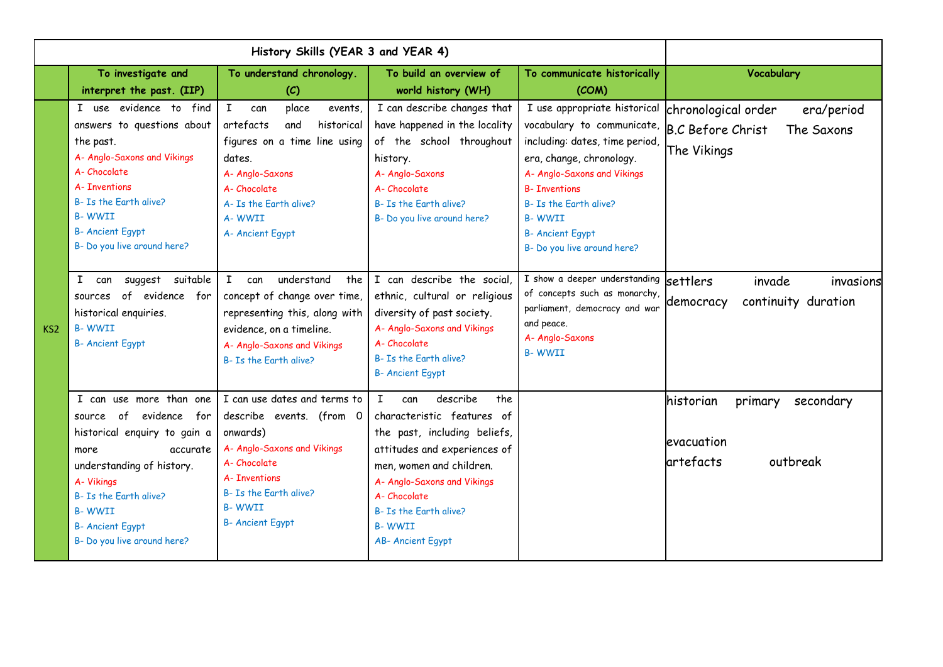|                 | To investigate and<br>interpret the past. (IIP)                                                                                                                                                                                                         | To understand chronology.<br>(C)                                                                                                                                                                                | To build an overview of<br>world history (WH)                                                                                                                                                                                                                                        | To communicate historically<br>(COM)                                                                                                                                                                                                                                                                   | Vocabulary                                                                 |
|-----------------|---------------------------------------------------------------------------------------------------------------------------------------------------------------------------------------------------------------------------------------------------------|-----------------------------------------------------------------------------------------------------------------------------------------------------------------------------------------------------------------|--------------------------------------------------------------------------------------------------------------------------------------------------------------------------------------------------------------------------------------------------------------------------------------|--------------------------------------------------------------------------------------------------------------------------------------------------------------------------------------------------------------------------------------------------------------------------------------------------------|----------------------------------------------------------------------------|
|                 | I use evidence to find<br>answers to questions about<br>the past.<br>A- Anglo-Saxons and Vikings<br>A-Chocolate<br>A- Inventions<br>B- Is the Earth alive?<br><b>B-WWII</b><br><b>B-Ancient Egypt</b><br>B- Do you live around here?                    | place<br>I.<br>events,<br>can<br>artefacts<br>and<br>historical<br>figures on a time line using<br>dates.<br>A- Anglo-Saxons<br>A-Chocolate<br>A- Is the Farth alive?<br>A-WWII<br>A- Ancient Egypt             | I can describe changes that<br>have happened in the locality<br>of the school throughout<br>history.<br>A- Anglo-Saxons<br>A-Chocolate<br>B- Is the Farth alive?<br>B- Do you live around here?                                                                                      | I use appropriate historical<br>vocabulary to communicate, B.C Before Christ<br>including: dates, time period,<br>era, change, chronology.<br>A- Anglo-Saxons and Vikings<br><b>B- Inventions</b><br>B- Is the Farth alive?<br><b>B-WWII</b><br><b>B- Ancient Egypt</b><br>B- Do you live around here? | chronological order<br>era/period<br>The Saxons<br>The Vikings             |
| KS <sub>2</sub> | suggest suitable<br>I can<br>sources of evidence for<br>historical enquiries.<br><b>B-WWII</b><br><b>B- Ancient Egypt</b>                                                                                                                               | $\mathbf{I}$<br>understand<br>can<br>the<br>concept of change over time,<br>representing this, along with<br>evidence, on a timeline.<br>A- Anglo-Saxons and Vikings<br>B- Is the Earth alive?                  | I can describe the social,<br>ethnic, cultural or religious<br>diversity of past society.<br>A- Anglo-Saxons and Vikings<br>A-Chocolate<br>B- Is the Earth alive?<br><b>B- Ancient Egypt</b>                                                                                         | I show a deeper understanding<br>of concepts such as monarchy,<br>parliament, democracy and war<br>and peace.<br>A- Anglo-Saxons<br><b>B-WWII</b>                                                                                                                                                      | invade<br><b>settlers</b><br>invasions<br>continuity duration<br>democracy |
|                 | I can use more than one<br>of evidence for<br>source<br>historical enquiry to gain a<br>accurate<br>more<br>understanding of history.<br>A-Vikings<br>B- Is the Earth alive?<br><b>B-WWII</b><br><b>B- Ancient Egypt</b><br>B- Do you live around here? | I can use dates and terms to<br>describe events. (from 0<br>onwards)<br>A- Anglo-Saxons and Vikings<br>A-Chocolate<br><b>A-Tnventions</b><br>B- Is the Earth alive?<br><b>B-WWII</b><br><b>B- Ancient Egypt</b> | $\mathbf{I}$<br>describe<br>the<br>can<br>characteristic features of<br>the past, including beliefs,<br>attitudes and experiences of<br>men, women and children.<br>A- Anglo-Saxons and Vikings<br>A-Chocolate<br>B- Is the Earth alive?<br><b>B-WWII</b><br><b>AB-Ancient Egypt</b> |                                                                                                                                                                                                                                                                                                        | historian<br>primary<br>secondary<br>evacuation<br>artefacts<br>outbreak   |